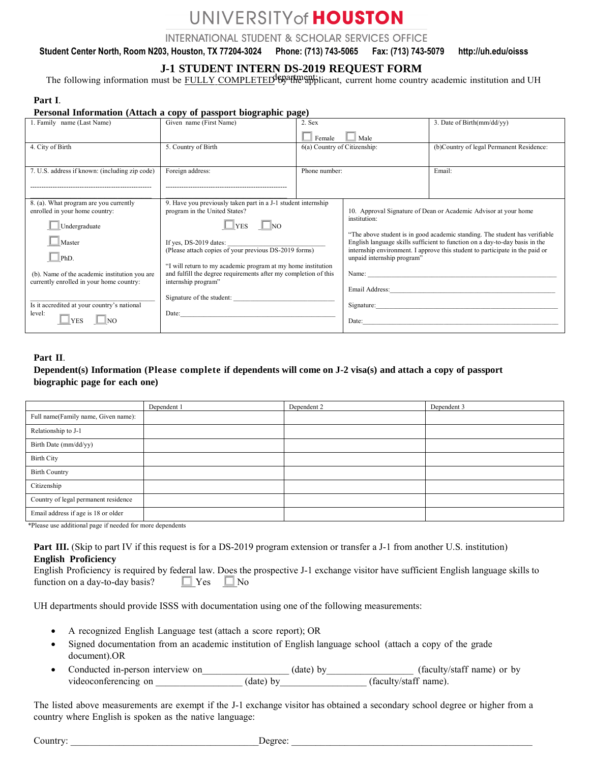# UNIVERSITY of HOUSTON

**INTERNATIONAL STUDENT & SCHOLAR SERVICES OFFICE** 

**Student Center North, Room N203, Houston, TX 77204-3024 Phone: (713) 743-5065 Fax: (713) 743-5079 http://uh.edu/oisss**

## **J-1 STUDENT INTERN DS-2019 REQUEST FORM**

The following information must be FULLY COMPLETED<sup>d</sup><sup>ED</sup><sup>a</sup> the applicant, current home country academic institution and UH

#### **Part I**.

#### **Personal Information (Attach a copy of passport biographic page)**

| Given name (First Name)<br>3. Date of Birth $\frac{mm}{dd/yy}$<br>1. Family name (Last Name)<br>2. Sex<br>Female<br>Male<br>4. City of Birth<br>5. Country of Birth<br>6(a) Country of Citizenship:<br>(b)Country of legal Permanent Residence:<br>Email:<br>Foreign address:<br>7. U.S. address if known: (including zip code)<br>Phone number: |  |  |
|--------------------------------------------------------------------------------------------------------------------------------------------------------------------------------------------------------------------------------------------------------------------------------------------------------------------------------------------------|--|--|
|                                                                                                                                                                                                                                                                                                                                                  |  |  |
|                                                                                                                                                                                                                                                                                                                                                  |  |  |
|                                                                                                                                                                                                                                                                                                                                                  |  |  |
|                                                                                                                                                                                                                                                                                                                                                  |  |  |
|                                                                                                                                                                                                                                                                                                                                                  |  |  |
|                                                                                                                                                                                                                                                                                                                                                  |  |  |
|                                                                                                                                                                                                                                                                                                                                                  |  |  |
| 9. Have you previously taken part in a J-1 student internship<br>8. (a). What program are you currently                                                                                                                                                                                                                                          |  |  |
| enrolled in your home country:<br>program in the United States?<br>10. Approval Signature of Dean or Academic Advisor at your home                                                                                                                                                                                                               |  |  |
| institution:<br>Undergraduate<br>$\Box$ YES<br>$\Box$ NO                                                                                                                                                                                                                                                                                         |  |  |
| "The above student is in good academic standing. The student has verifiable<br>Master<br>English language skills sufficient to function on a day-to-day basis in the                                                                                                                                                                             |  |  |
| If yes, DS-2019 dates:<br>(Please attach copies of your previous DS-2019 forms)<br>internship environment. I approve this student to participate in the paid or                                                                                                                                                                                  |  |  |
| $PhD$ .<br>unpaid internship program"                                                                                                                                                                                                                                                                                                            |  |  |
| "I will return to my academic program at my home institution                                                                                                                                                                                                                                                                                     |  |  |
| and fulfill the degree requirements after my completion of this<br>(b). Name of the academic institution you are<br>internship program"<br>currently enrolled in your home country:                                                                                                                                                              |  |  |
| Email Address: The Manual Address and The Manual Address and The Manual Address and The Manual Address and The                                                                                                                                                                                                                                   |  |  |
| Signature of the student:                                                                                                                                                                                                                                                                                                                        |  |  |
| Is it accredited at your country's national<br>Signature:                                                                                                                                                                                                                                                                                        |  |  |
| level:<br>Date:<br><b>YES</b><br>NO.                                                                                                                                                                                                                                                                                                             |  |  |
|                                                                                                                                                                                                                                                                                                                                                  |  |  |

#### **Part II**.

## **Dependent(s) Information (Please complete if dependents will come on J-2 visa(s) and attach a copy of passport biographic page for each one)**

|                                      | Dependent 1 | Dependent 2 | Dependent 3 |
|--------------------------------------|-------------|-------------|-------------|
| Full name(Family name, Given name):  |             |             |             |
| Relationship to J-1                  |             |             |             |
| Birth Date (mm/dd/yy)                |             |             |             |
| <b>Birth City</b>                    |             |             |             |
| <b>Birth Country</b>                 |             |             |             |
| Citizenship                          |             |             |             |
| Country of legal permanent residence |             |             |             |
| Email address if age is 18 or older  |             |             |             |

\*Please use additional page if needed for more dependents

**Part III.** (Skip to part IV if this request is for a DS-2019 program extension or transfer a J-1 from another U.S. institution) **English Proficiency**

| English Proficiency is required by federal law. Does the prospective J-1 exchange visitor have sufficient English language skills to |  |  |  |
|--------------------------------------------------------------------------------------------------------------------------------------|--|--|--|
| function on a day-to-day basis? $\Box$ Yes $\Box$ No                                                                                 |  |  |  |

UH departments should provide ISSS with documentation using one of the following measurements:

- A recognized English Language test (attach a score report); OR
- Signed documentation from an academic institution of English language school (attach a copy of the grade document).OR
- Conducted in-person interview on\_\_\_\_\_\_\_\_\_\_\_\_\_\_\_\_\_\_\_\_\_(date) by\_\_\_\_\_\_\_\_\_\_\_\_\_\_\_\_(faculty/staff name) or by videoconferencing on \_\_\_\_\_\_\_\_\_\_\_\_\_\_\_\_\_\_\_\_\_\_\_(date) by \_\_\_\_\_\_\_\_\_\_\_\_\_\_\_\_\_(faculty/staff name).

The listed above measurements are exempt if the J-1 exchange visitor has obtained a secondary school degree or higher from a country where English is spoken as the native language:

Country: \_\_\_\_\_\_\_\_\_\_\_\_\_\_\_\_\_\_\_\_\_\_\_\_\_\_\_\_\_\_\_\_\_\_\_\_\_\_\_Degree: \_\_\_\_\_\_\_\_\_\_\_\_\_\_\_\_\_\_\_\_\_\_\_\_\_\_\_\_\_\_\_\_\_\_\_\_\_\_\_\_\_\_\_\_\_\_\_\_\_\_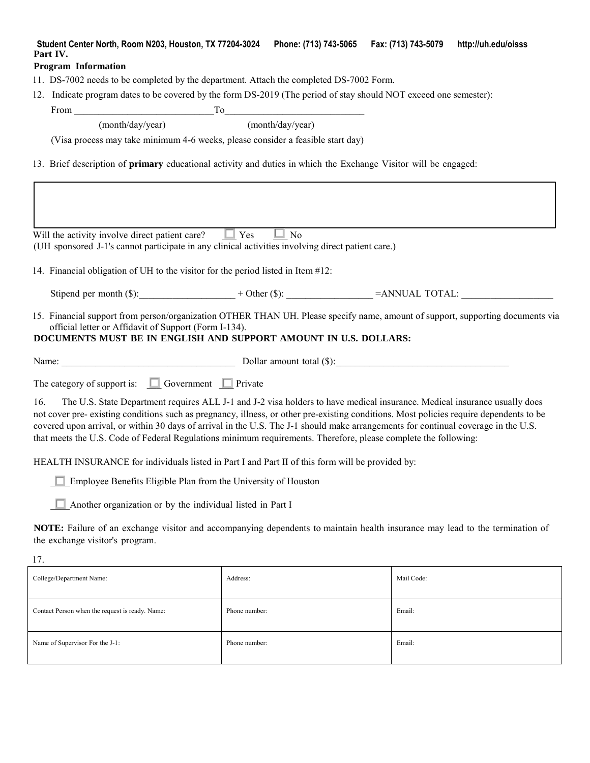## **Student Center North, Room N203, Houston, TX 77204-3024 Phone: (713) 743-5065 Fax: (713) 743-5079 http://uh.edu/oisss Part IV.**

## **Program Information**

- 11. DS-7002 needs to be completed by the department. Attach the completed DS-7002 Form.
- 12. Indicate program dates to be covered by the form DS-2019 (The period of stay should NOT exceed one semester):

From \_\_\_\_\_\_\_\_\_\_\_\_\_\_\_\_\_\_\_\_\_\_\_\_\_\_\_\_\_To\_\_\_\_\_\_\_\_\_\_\_\_\_\_\_\_\_\_\_\_\_\_\_\_\_\_\_\_\_

(month/day/year) (month/day/year)

(Visa process may take minimum 4-6 weeks, please consider a feasible start day)

13. Brief description of **primary** educational activity and duties in which the Exchange Visitor will be engaged:

| Will the activity involve direct patient care?<br>(UH sponsored J-1's cannot participate in any clinical activities involving direct patient care.)                                                                                                                                                                                                                                                    | $\Box$ Yes<br>N <sub>0</sub>                                                                                              |            |  |  |  |  |  |  |
|--------------------------------------------------------------------------------------------------------------------------------------------------------------------------------------------------------------------------------------------------------------------------------------------------------------------------------------------------------------------------------------------------------|---------------------------------------------------------------------------------------------------------------------------|------------|--|--|--|--|--|--|
| 14. Financial obligation of UH to the visitor for the period listed in Item #12:                                                                                                                                                                                                                                                                                                                       |                                                                                                                           |            |  |  |  |  |  |  |
|                                                                                                                                                                                                                                                                                                                                                                                                        |                                                                                                                           |            |  |  |  |  |  |  |
| 15. Financial support from person/organization OTHER THAN UH. Please specify name, amount of support, supporting documents via<br>official letter or Affidavit of Support (Form I-134).<br>DOCUMENTS MUST BE IN ENGLISH AND SUPPORT AMOUNT IN U.S. DOLLARS:                                                                                                                                            |                                                                                                                           |            |  |  |  |  |  |  |
| Name: Dollar amount total (\$):                                                                                                                                                                                                                                                                                                                                                                        |                                                                                                                           |            |  |  |  |  |  |  |
| The category of support is: $\Box$ Government $\Box$ Private                                                                                                                                                                                                                                                                                                                                           |                                                                                                                           |            |  |  |  |  |  |  |
| 16.<br>not cover pre-existing conditions such as pregnancy, illness, or other pre-existing conditions. Most policies require dependents to be<br>covered upon arrival, or within 30 days of arrival in the U.S. The J-1 should make arrangements for continual coverage in the U.S.<br>that meets the U.S. Code of Federal Regulations minimum requirements. Therefore, please complete the following: | The U.S. State Department requires ALL J-1 and J-2 visa holders to have medical insurance. Medical insurance usually does |            |  |  |  |  |  |  |
| HEALTH INSURANCE for individuals listed in Part I and Part II of this form will be provided by:                                                                                                                                                                                                                                                                                                        |                                                                                                                           |            |  |  |  |  |  |  |
| Employee Benefits Eligible Plan from the University of Houston                                                                                                                                                                                                                                                                                                                                         |                                                                                                                           |            |  |  |  |  |  |  |
| Another organization or by the individual listed in Part I                                                                                                                                                                                                                                                                                                                                             |                                                                                                                           |            |  |  |  |  |  |  |
| NOTE: Failure of an exchange visitor and accompanying dependents to maintain health insurance may lead to the termination of<br>the exchange visitor's program.                                                                                                                                                                                                                                        |                                                                                                                           |            |  |  |  |  |  |  |
| 17.                                                                                                                                                                                                                                                                                                                                                                                                    |                                                                                                                           |            |  |  |  |  |  |  |
| College/Department Name:                                                                                                                                                                                                                                                                                                                                                                               | Address:                                                                                                                  | Mail Code: |  |  |  |  |  |  |
| Contact Person when the request is ready. Name:                                                                                                                                                                                                                                                                                                                                                        | Phone number:                                                                                                             | Email:     |  |  |  |  |  |  |
| Name of Supervisor For the J-1:<br>Phone number:<br>Email:                                                                                                                                                                                                                                                                                                                                             |                                                                                                                           |            |  |  |  |  |  |  |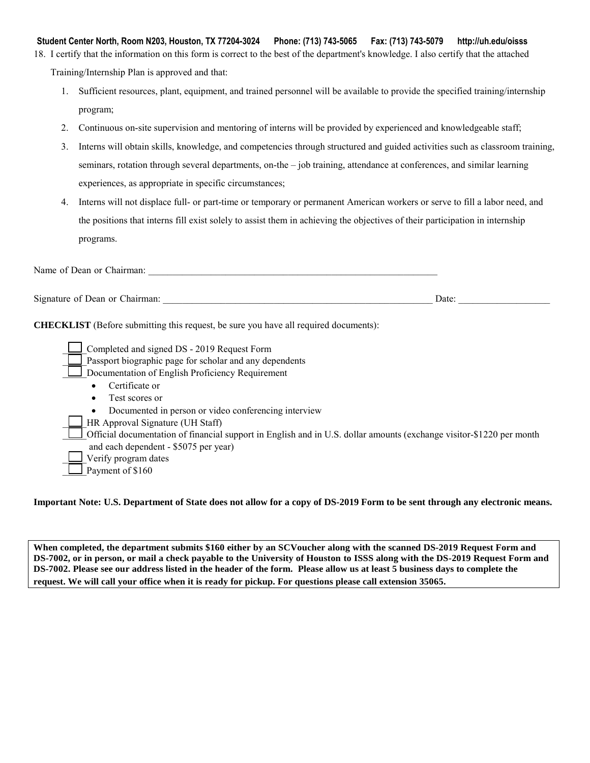**Student Center North, Room N203, Houston, TX 77204-3024 Phone: (713) 743-5065 Fax: (713) 743-5079 http://uh.edu/oisss** 18. I certify that the information on this form is correct to the best of the department's knowledge. I also certify that the attached Training/Internship Plan is approved and that:

- 1. Sufficient resources, plant, equipment, and trained personnel will be available to provide the specified training/internship program;
- 2. Continuous on-site supervision and mentoring of interns will be provided by experienced and knowledgeable staff;
- 3. Interns will obtain skills, knowledge, and competencies through structured and guided activities such as classroom training, seminars, rotation through several departments, on-the – job training, attendance at conferences, and similar learning experiences, as appropriate in specific circumstances;
- 4. Interns will not displace full- or part-time or temporary or permanent American workers or serve to fill a labor need, and the positions that interns fill exist solely to assist them in achieving the objectives of their participation in internship programs.

| Name of Dean or Chairman:                                                                                                                                  |       |
|------------------------------------------------------------------------------------------------------------------------------------------------------------|-------|
| Signature of Dean or Chairman:                                                                                                                             | Date: |
| <b>CHECKLIST</b> (Before submitting this request, be sure you have all required documents):                                                                |       |
| Completed and signed DS - 2019 Request Form<br>Passport biographic page for scholar and any dependents<br>Documentation of English Proficiency Requirement |       |
| Certificate or                                                                                                                                             |       |
| Test scores or                                                                                                                                             |       |
| Documented in person or video conferencing interview                                                                                                       |       |
| HR Approval Signature (UH Staff)                                                                                                                           |       |
| Official documentation of financial support in English and in U.S. dollar amounts (exchange visitor-\$1220 per month                                       |       |
| and each dependent - \$5075 per year)                                                                                                                      |       |
| Verify program dates                                                                                                                                       |       |
| Payment of \$160                                                                                                                                           |       |

### **Important Note: U.S. Department of State does not allow for a copy of DS-2019 Form to be sent through any electronic means.**

When completed, the department submits \$160 either by an SCVoucher along with the scanned DS-2019 Request Form and DS-7002, or in person, or mail a check payable to the University of Houston to ISSS along with the DS-2019 Request Form and DS-7002. Please see our address listed in the header of the form. Please allow us at least 5 business days to complete the request. We will call your office when it is ready for pickup. For questions please call extension 35065.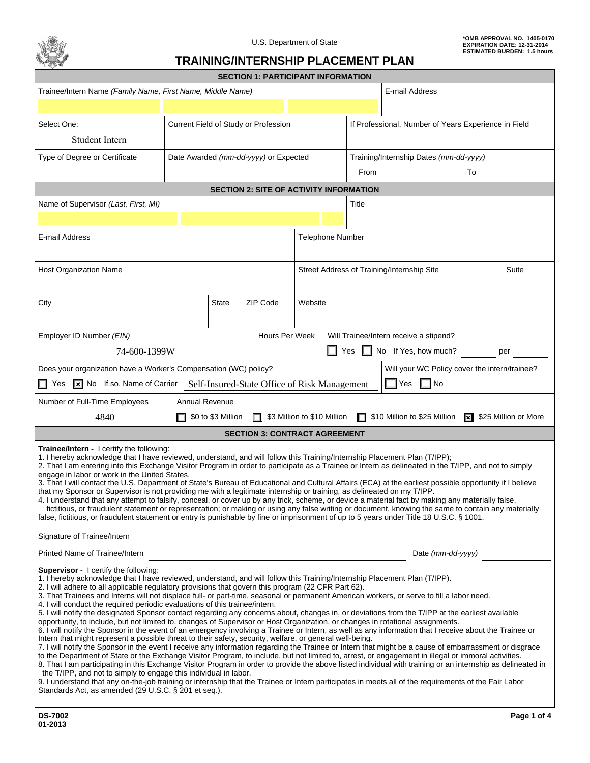

## **TRAINING/INTERNSHIP PLACEMENT PLAN**

| <b>SECTION 1: PARTICIPANT INFORMATION</b>                                                                                                                                                                                                                                                                                                                                                                                                                                                                                                                                                                                                                                                                                                                                                                                                                                                                                                                                                                                                                                                                                                                                                                                                                                                                                                                                                                                                                                                                                                                                                                                                                                                                                                                                                                                                       |                                                            |                    |  |                                                |                  |                                                      |       |                                               |                      |
|-------------------------------------------------------------------------------------------------------------------------------------------------------------------------------------------------------------------------------------------------------------------------------------------------------------------------------------------------------------------------------------------------------------------------------------------------------------------------------------------------------------------------------------------------------------------------------------------------------------------------------------------------------------------------------------------------------------------------------------------------------------------------------------------------------------------------------------------------------------------------------------------------------------------------------------------------------------------------------------------------------------------------------------------------------------------------------------------------------------------------------------------------------------------------------------------------------------------------------------------------------------------------------------------------------------------------------------------------------------------------------------------------------------------------------------------------------------------------------------------------------------------------------------------------------------------------------------------------------------------------------------------------------------------------------------------------------------------------------------------------------------------------------------------------------------------------------------------------|------------------------------------------------------------|--------------------|--|------------------------------------------------|------------------|------------------------------------------------------|-------|-----------------------------------------------|----------------------|
|                                                                                                                                                                                                                                                                                                                                                                                                                                                                                                                                                                                                                                                                                                                                                                                                                                                                                                                                                                                                                                                                                                                                                                                                                                                                                                                                                                                                                                                                                                                                                                                                                                                                                                                                                                                                                                                 | Trainee/Intern Name (Family Name, First Name, Middle Name) |                    |  |                                                |                  | E-mail Address                                       |       |                                               |                      |
|                                                                                                                                                                                                                                                                                                                                                                                                                                                                                                                                                                                                                                                                                                                                                                                                                                                                                                                                                                                                                                                                                                                                                                                                                                                                                                                                                                                                                                                                                                                                                                                                                                                                                                                                                                                                                                                 |                                                            |                    |  |                                                |                  |                                                      |       |                                               |                      |
| Select One:                                                                                                                                                                                                                                                                                                                                                                                                                                                                                                                                                                                                                                                                                                                                                                                                                                                                                                                                                                                                                                                                                                                                                                                                                                                                                                                                                                                                                                                                                                                                                                                                                                                                                                                                                                                                                                     | Current Field of Study or Profession                       |                    |  |                                                |                  | If Professional, Number of Years Experience in Field |       |                                               |                      |
| Student Intern                                                                                                                                                                                                                                                                                                                                                                                                                                                                                                                                                                                                                                                                                                                                                                                                                                                                                                                                                                                                                                                                                                                                                                                                                                                                                                                                                                                                                                                                                                                                                                                                                                                                                                                                                                                                                                  |                                                            |                    |  |                                                |                  |                                                      |       |                                               |                      |
| Type of Degree or Certificate                                                                                                                                                                                                                                                                                                                                                                                                                                                                                                                                                                                                                                                                                                                                                                                                                                                                                                                                                                                                                                                                                                                                                                                                                                                                                                                                                                                                                                                                                                                                                                                                                                                                                                                                                                                                                   | Date Awarded (mm-dd-yyyy) or Expected                      |                    |  |                                                |                  |                                                      |       | Training/Internship Dates (mm-dd-yyyy)        |                      |
|                                                                                                                                                                                                                                                                                                                                                                                                                                                                                                                                                                                                                                                                                                                                                                                                                                                                                                                                                                                                                                                                                                                                                                                                                                                                                                                                                                                                                                                                                                                                                                                                                                                                                                                                                                                                                                                 |                                                            |                    |  |                                                |                  |                                                      | From  | To                                            |                      |
|                                                                                                                                                                                                                                                                                                                                                                                                                                                                                                                                                                                                                                                                                                                                                                                                                                                                                                                                                                                                                                                                                                                                                                                                                                                                                                                                                                                                                                                                                                                                                                                                                                                                                                                                                                                                                                                 |                                                            |                    |  | <b>SECTION 2: SITE OF ACTIVITY INFORMATION</b> |                  |                                                      |       |                                               |                      |
| Name of Supervisor (Last, First, MI)                                                                                                                                                                                                                                                                                                                                                                                                                                                                                                                                                                                                                                                                                                                                                                                                                                                                                                                                                                                                                                                                                                                                                                                                                                                                                                                                                                                                                                                                                                                                                                                                                                                                                                                                                                                                            |                                                            |                    |  |                                                |                  |                                                      | Title |                                               |                      |
|                                                                                                                                                                                                                                                                                                                                                                                                                                                                                                                                                                                                                                                                                                                                                                                                                                                                                                                                                                                                                                                                                                                                                                                                                                                                                                                                                                                                                                                                                                                                                                                                                                                                                                                                                                                                                                                 |                                                            |                    |  |                                                |                  |                                                      |       |                                               |                      |
| E-mail Address                                                                                                                                                                                                                                                                                                                                                                                                                                                                                                                                                                                                                                                                                                                                                                                                                                                                                                                                                                                                                                                                                                                                                                                                                                                                                                                                                                                                                                                                                                                                                                                                                                                                                                                                                                                                                                  |                                                            |                    |  |                                                | Telephone Number |                                                      |       |                                               |                      |
| <b>Host Organization Name</b>                                                                                                                                                                                                                                                                                                                                                                                                                                                                                                                                                                                                                                                                                                                                                                                                                                                                                                                                                                                                                                                                                                                                                                                                                                                                                                                                                                                                                                                                                                                                                                                                                                                                                                                                                                                                                   |                                                            |                    |  |                                                |                  |                                                      |       | Street Address of Training/Internship Site    | Suite                |
| City                                                                                                                                                                                                                                                                                                                                                                                                                                                                                                                                                                                                                                                                                                                                                                                                                                                                                                                                                                                                                                                                                                                                                                                                                                                                                                                                                                                                                                                                                                                                                                                                                                                                                                                                                                                                                                            |                                                            | <b>State</b>       |  | ZIP Code                                       | Website          |                                                      |       |                                               |                      |
| Employer ID Number (EIN)                                                                                                                                                                                                                                                                                                                                                                                                                                                                                                                                                                                                                                                                                                                                                                                                                                                                                                                                                                                                                                                                                                                                                                                                                                                                                                                                                                                                                                                                                                                                                                                                                                                                                                                                                                                                                        |                                                            |                    |  | Hours Per Week                                 |                  |                                                      |       | Will Trainee/Intern receive a stipend?        |                      |
| 74-600-1399W                                                                                                                                                                                                                                                                                                                                                                                                                                                                                                                                                                                                                                                                                                                                                                                                                                                                                                                                                                                                                                                                                                                                                                                                                                                                                                                                                                                                                                                                                                                                                                                                                                                                                                                                                                                                                                    |                                                            |                    |  |                                                |                  | ш<br>Yes<br>No If Yes, how much?<br>per              |       |                                               |                      |
| Does your organization have a Worker's Compensation (WC) policy?                                                                                                                                                                                                                                                                                                                                                                                                                                                                                                                                                                                                                                                                                                                                                                                                                                                                                                                                                                                                                                                                                                                                                                                                                                                                                                                                                                                                                                                                                                                                                                                                                                                                                                                                                                                |                                                            |                    |  |                                                |                  |                                                      |       | Will your WC Policy cover the intern/trainee? |                      |
| No If so, Name of Carrier Self-Insured-State Office of Risk Management<br>∐ Yes                                                                                                                                                                                                                                                                                                                                                                                                                                                                                                                                                                                                                                                                                                                                                                                                                                                                                                                                                                                                                                                                                                                                                                                                                                                                                                                                                                                                                                                                                                                                                                                                                                                                                                                                                                 |                                                            |                    |  |                                                |                  |                                                      |       | $\Box$ Yes<br>∥No                             |                      |
| Number of Full-Time Employees                                                                                                                                                                                                                                                                                                                                                                                                                                                                                                                                                                                                                                                                                                                                                                                                                                                                                                                                                                                                                                                                                                                                                                                                                                                                                                                                                                                                                                                                                                                                                                                                                                                                                                                                                                                                                   | Annual Revenue                                             |                    |  |                                                |                  |                                                      |       |                                               |                      |
| 4840                                                                                                                                                                                                                                                                                                                                                                                                                                                                                                                                                                                                                                                                                                                                                                                                                                                                                                                                                                                                                                                                                                                                                                                                                                                                                                                                                                                                                                                                                                                                                                                                                                                                                                                                                                                                                                            |                                                            | \$0 to \$3 Million |  | \$3 Million to \$10 Million<br>П               |                  |                                                      | П     | \$10 Million to \$25 Million<br>∏×∥           | \$25 Million or More |
| <b>SECTION 3: CONTRACT AGREEMENT</b>                                                                                                                                                                                                                                                                                                                                                                                                                                                                                                                                                                                                                                                                                                                                                                                                                                                                                                                                                                                                                                                                                                                                                                                                                                                                                                                                                                                                                                                                                                                                                                                                                                                                                                                                                                                                            |                                                            |                    |  |                                                |                  |                                                      |       |                                               |                      |
| <b>Trainee/Intern - I certify the following:</b><br>1. I hereby acknowledge that I have reviewed, understand, and will follow this Training/Internship Placement Plan (T/IPP);<br>2. That I am entering into this Exchange Visitor Program in order to participate as a Trainee or Intern as delineated in the T/IPP, and not to simply<br>engage in labor or work in the United States.<br>3. That I will contact the U.S. Department of State's Bureau of Educational and Cultural Affairs (ECA) at the earliest possible opportunity if I believe<br>that my Sponsor or Supervisor is not providing me with a legitimate internship or training, as delineated on my T/IPP.<br>4. I understand that any attempt to falsify, conceal, or cover up by any trick, scheme, or device a material fact by making any materially false,<br>fictitious, or fraudulent statement or representation; or making or using any false writing or document, knowing the same to contain any materially<br>false, fictitious, or fraudulent statement or entry is punishable by fine or imprisonment of up to 5 years under Title 18 U.S.C. § 1001.<br>Signature of Trainee/Intern                                                                                                                                                                                                                                                                                                                                                                                                                                                                                                                                                                                                                                                                           |                                                            |                    |  |                                                |                  |                                                      |       |                                               |                      |
| Printed Name of Trainee/Intern<br>Date (mm-dd-yyyy)                                                                                                                                                                                                                                                                                                                                                                                                                                                                                                                                                                                                                                                                                                                                                                                                                                                                                                                                                                                                                                                                                                                                                                                                                                                                                                                                                                                                                                                                                                                                                                                                                                                                                                                                                                                             |                                                            |                    |  |                                                |                  |                                                      |       |                                               |                      |
| <b>Supervisor - I certify the following:</b><br>1. I hereby acknowledge that I have reviewed, understand, and will follow this Training/Internship Placement Plan (T/IPP).<br>2. I will adhere to all applicable regulatory provisions that govern this program (22 CFR Part 62).<br>3. That Trainees and Interns will not displace full- or part-time, seasonal or permanent American workers, or serve to fill a labor need.<br>4. I will conduct the required periodic evaluations of this trainee/intern.<br>5. I will notify the designated Sponsor contact regarding any concerns about, changes in, or deviations from the T/IPP at the earliest available<br>opportunity, to include, but not limited to, changes of Supervisor or Host Organization, or changes in rotational assignments.<br>6. I will notify the Sponsor in the event of an emergency involving a Trainee or Intern, as well as any information that I receive about the Trainee or<br>Intern that might represent a possible threat to their safety, security, welfare, or general well-being.<br>7. I will notify the Sponsor in the event I receive any information regarding the Trainee or Intern that might be a cause of embarrassment or disgrace<br>to the Department of State or the Exchange Visitor Program, to include, but not limited to, arrest, or engagement in illegal or immoral activities.<br>8. That I am participating in this Exchange Visitor Program in order to provide the above listed individual with training or an internship as delineated in<br>the T/IPP, and not to simply to engage this individual in labor.<br>9. I understand that any on-the-job training or internship that the Trainee or Intern participates in meets all of the requirements of the Fair Labor<br>Standards Act, as amended (29 U.S.C. § 201 et seq.). |                                                            |                    |  |                                                |                  |                                                      |       |                                               |                      |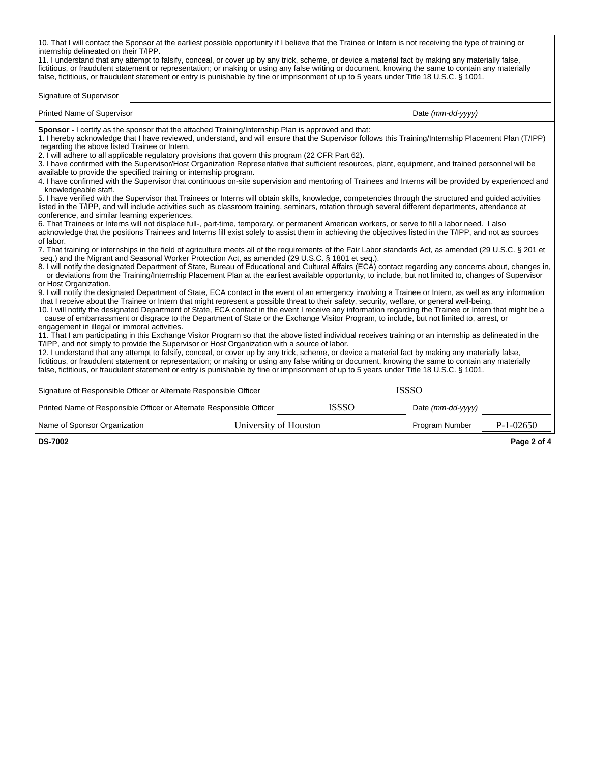| 10. That I will contact the Sponsor at the earliest possible opportunity if I believe that the Trainee or Intern is not receiving the type of training or<br>internship delineated on their T/IPP.<br>11. I understand that any attempt to falsify, conceal, or cover up by any trick, scheme, or device a material fact by making any materially false,<br>fictitious, or fraudulent statement or representation; or making or using any false writing or document, knowing the same to contain any materially<br>false, fictitious, or fraudulent statement or entry is punishable by fine or imprisonment of up to 5 years under Title 18 U.S.C. § 1001.                                                                                                                                                                                                                                                                                                                                                                                                                                                                                                                                                                                                                                                                                                                                                                                                                                                                                                                                                                                                                                                                                                                                                                                                                                                                                                                                                                                                                                                                                                                                                                                                                                                                                                                                                                                                                                                                                                                                                                                                                                                                                                                                                                                                                                                                                                                                                                                                                                                                                                                                                                                                                                                                                                                                                                                                                                                                                                                                                      |                       |                   |                   |  |  |  |  |
|------------------------------------------------------------------------------------------------------------------------------------------------------------------------------------------------------------------------------------------------------------------------------------------------------------------------------------------------------------------------------------------------------------------------------------------------------------------------------------------------------------------------------------------------------------------------------------------------------------------------------------------------------------------------------------------------------------------------------------------------------------------------------------------------------------------------------------------------------------------------------------------------------------------------------------------------------------------------------------------------------------------------------------------------------------------------------------------------------------------------------------------------------------------------------------------------------------------------------------------------------------------------------------------------------------------------------------------------------------------------------------------------------------------------------------------------------------------------------------------------------------------------------------------------------------------------------------------------------------------------------------------------------------------------------------------------------------------------------------------------------------------------------------------------------------------------------------------------------------------------------------------------------------------------------------------------------------------------------------------------------------------------------------------------------------------------------------------------------------------------------------------------------------------------------------------------------------------------------------------------------------------------------------------------------------------------------------------------------------------------------------------------------------------------------------------------------------------------------------------------------------------------------------------------------------------------------------------------------------------------------------------------------------------------------------------------------------------------------------------------------------------------------------------------------------------------------------------------------------------------------------------------------------------------------------------------------------------------------------------------------------------------------------------------------------------------------------------------------------------------------------------------------------------------------------------------------------------------------------------------------------------------------------------------------------------------------------------------------------------------------------------------------------------------------------------------------------------------------------------------------------------------------------------------------------------------------------------------------------------|-----------------------|-------------------|-------------------|--|--|--|--|
| Signature of Supervisor                                                                                                                                                                                                                                                                                                                                                                                                                                                                                                                                                                                                                                                                                                                                                                                                                                                                                                                                                                                                                                                                                                                                                                                                                                                                                                                                                                                                                                                                                                                                                                                                                                                                                                                                                                                                                                                                                                                                                                                                                                                                                                                                                                                                                                                                                                                                                                                                                                                                                                                                                                                                                                                                                                                                                                                                                                                                                                                                                                                                                                                                                                                                                                                                                                                                                                                                                                                                                                                                                                                                                                                          |                       |                   |                   |  |  |  |  |
| <b>Printed Name of Supervisor</b>                                                                                                                                                                                                                                                                                                                                                                                                                                                                                                                                                                                                                                                                                                                                                                                                                                                                                                                                                                                                                                                                                                                                                                                                                                                                                                                                                                                                                                                                                                                                                                                                                                                                                                                                                                                                                                                                                                                                                                                                                                                                                                                                                                                                                                                                                                                                                                                                                                                                                                                                                                                                                                                                                                                                                                                                                                                                                                                                                                                                                                                                                                                                                                                                                                                                                                                                                                                                                                                                                                                                                                                |                       |                   | Date (mm-dd-yyyy) |  |  |  |  |
| Sponsor - I certify as the sponsor that the attached Training/Internship Plan is approved and that:<br>1. I hereby acknowledge that I have reviewed, understand, and will ensure that the Supervisor follows this Training/Internship Placement Plan (T/IPP)<br>regarding the above listed Trainee or Intern.<br>2. I will adhere to all applicable regulatory provisions that govern this program (22 CFR Part 62).<br>3. I have confirmed with the Supervisor/Host Organization Representative that sufficient resources, plant, equipment, and trained personnel will be<br>available to provide the specified training or internship program.<br>4. I have confirmed with the Supervisor that continuous on-site supervision and mentoring of Trainees and Interns will be provided by experienced and<br>knowledgeable staff.<br>5. I have verified with the Supervisor that Trainees or Interns will obtain skills, knowledge, competencies through the structured and guided activities<br>listed in the T/IPP, and will include activities such as classroom training, seminars, rotation through several different departments, attendance at<br>conference, and similar learning experiences.<br>6. That Trainees or Interns will not displace full-, part-time, temporary, or permanent American workers, or serve to fill a labor need. I also<br>acknowledge that the positions Trainees and Interns fill exist solely to assist them in achieving the objectives listed in the T/IPP, and not as sources<br>of labor.<br>7. That training or internships in the field of agriculture meets all of the requirements of the Fair Labor standards Act, as amended (29 U.S.C. § 201 et<br>seg.) and the Migrant and Seasonal Worker Protection Act, as amended (29 U.S.C. § 1801 et seg.).<br>8. I will notify the designated Department of State, Bureau of Educational and Cultural Affairs (ECA) contact regarding any concerns about, changes in,<br>or deviations from the Training/Internship Placement Plan at the earliest available opportunity, to include, but not limited to, changes of Supervisor<br>or Host Organization.<br>9. I will notify the designated Department of State, ECA contact in the event of an emergency involving a Trainee or Intern, as well as any information<br>that I receive about the Trainee or Intern that might represent a possible threat to their safety, security, welfare, or general well-being.<br>10. I will notify the designated Department of State, ECA contact in the event I receive any information regarding the Trainee or Intern that might be a<br>cause of embarrassment or disgrace to the Department of State or the Exchange Visitor Program, to include, but not limited to, arrest, or<br>engagement in illegal or immoral activities.<br>11. That I am participating in this Exchange Visitor Program so that the above listed individual receives training or an internship as delineated in the<br>T/IPP, and not simply to provide the Supervisor or Host Organization with a source of labor.<br>12. I understand that any attempt to falsify, conceal, or cover up by any trick, scheme, or device a material fact by making any materially false,<br>fictitious, or fraudulent statement or representation; or making or using any false writing or document, knowing the same to contain any materially<br>false, fictitious, or fraudulent statement or entry is punishable by fine or imprisonment of up to 5 years under Title 18 U.S.C. § 1001.<br>Signature of Responsible Officer or Alternate Responsible Officer |                       |                   | <b>ISSSO</b>      |  |  |  |  |
| Printed Name of Responsible Officer or Alternate Responsible Officer                                                                                                                                                                                                                                                                                                                                                                                                                                                                                                                                                                                                                                                                                                                                                                                                                                                                                                                                                                                                                                                                                                                                                                                                                                                                                                                                                                                                                                                                                                                                                                                                                                                                                                                                                                                                                                                                                                                                                                                                                                                                                                                                                                                                                                                                                                                                                                                                                                                                                                                                                                                                                                                                                                                                                                                                                                                                                                                                                                                                                                                                                                                                                                                                                                                                                                                                                                                                                                                                                                                                             | <b>ISSSO</b>          | Date (mm-dd-yyyy) |                   |  |  |  |  |
| Name of Sponsor Organization                                                                                                                                                                                                                                                                                                                                                                                                                                                                                                                                                                                                                                                                                                                                                                                                                                                                                                                                                                                                                                                                                                                                                                                                                                                                                                                                                                                                                                                                                                                                                                                                                                                                                                                                                                                                                                                                                                                                                                                                                                                                                                                                                                                                                                                                                                                                                                                                                                                                                                                                                                                                                                                                                                                                                                                                                                                                                                                                                                                                                                                                                                                                                                                                                                                                                                                                                                                                                                                                                                                                                                                     | University of Houston | Program Number    | $P-1-02650$       |  |  |  |  |

**DS-7002 Page 2 of 4**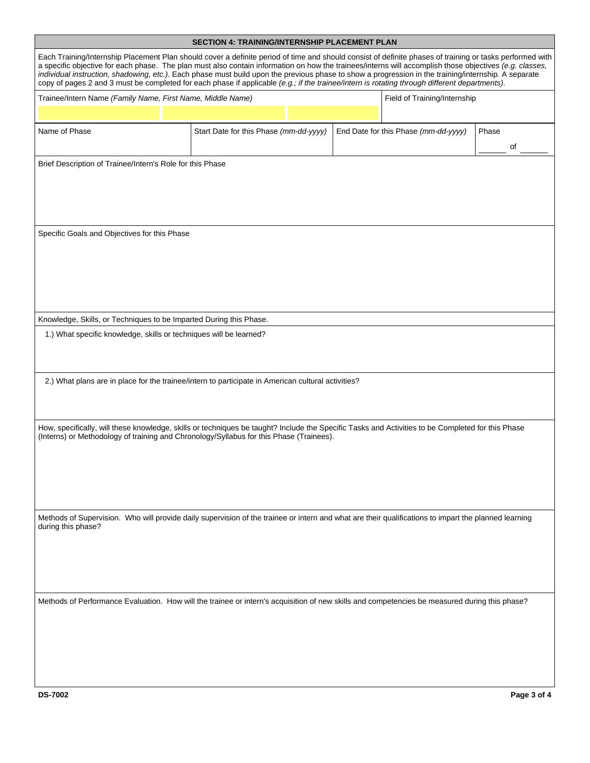|                                                                                                                                                                                                                                                                                                                                                                                                                                                                                                                                                                                                                              | <b>SECTION 4: TRAINING/INTERNSHIP PLACEMENT PLAN</b> |  |  |                                      |       |  |
|------------------------------------------------------------------------------------------------------------------------------------------------------------------------------------------------------------------------------------------------------------------------------------------------------------------------------------------------------------------------------------------------------------------------------------------------------------------------------------------------------------------------------------------------------------------------------------------------------------------------------|------------------------------------------------------|--|--|--------------------------------------|-------|--|
| Each Training/Internship Placement Plan should cover a definite period of time and should consist of definite phases of training or tasks performed with<br>a specific objective for each phase. The plan must also contain information on how the trainees/interns will accomplish those objectives (e.g. classes,<br>individual instruction, shadowing, etc.). Each phase must build upon the previous phase to show a progression in the training/internship. A separate<br>copy of pages 2 and 3 must be completed for each phase if applicable (e.g., if the trainee/intern is rotating through different departments). |                                                      |  |  |                                      |       |  |
| Trainee/Intern Name (Family Name, First Name, Middle Name)                                                                                                                                                                                                                                                                                                                                                                                                                                                                                                                                                                   |                                                      |  |  | Field of Training/Internship         |       |  |
|                                                                                                                                                                                                                                                                                                                                                                                                                                                                                                                                                                                                                              |                                                      |  |  |                                      |       |  |
| Name of Phase                                                                                                                                                                                                                                                                                                                                                                                                                                                                                                                                                                                                                | Start Date for this Phase (mm-dd-yyyy)               |  |  | End Date for this Phase (mm-dd-yyyy) | Phase |  |
|                                                                                                                                                                                                                                                                                                                                                                                                                                                                                                                                                                                                                              |                                                      |  |  |                                      | οf    |  |
| Brief Description of Trainee/Intern's Role for this Phase                                                                                                                                                                                                                                                                                                                                                                                                                                                                                                                                                                    |                                                      |  |  |                                      |       |  |
| Specific Goals and Objectives for this Phase                                                                                                                                                                                                                                                                                                                                                                                                                                                                                                                                                                                 |                                                      |  |  |                                      |       |  |
| Knowledge, Skills, or Techniques to be Imparted During this Phase.                                                                                                                                                                                                                                                                                                                                                                                                                                                                                                                                                           |                                                      |  |  |                                      |       |  |
| 1.) What specific knowledge, skills or techniques will be learned?                                                                                                                                                                                                                                                                                                                                                                                                                                                                                                                                                           |                                                      |  |  |                                      |       |  |
| 2.) What plans are in place for the trainee/intern to participate in American cultural activities?                                                                                                                                                                                                                                                                                                                                                                                                                                                                                                                           |                                                      |  |  |                                      |       |  |
| How, specifically, will these knowledge, skills or techniques be taught? Include the Specific Tasks and Activities to be Completed for this Phase<br>(Interns) or Methodology of training and Chronology/Syllabus for this Phase (Trainees).                                                                                                                                                                                                                                                                                                                                                                                 |                                                      |  |  |                                      |       |  |
| Methods of Supervision. Who will provide daily supervision of the trainee or intern and what are their qualifications to impart the planned learning<br>during this phase?                                                                                                                                                                                                                                                                                                                                                                                                                                                   |                                                      |  |  |                                      |       |  |
| Methods of Performance Evaluation. How will the trainee or intern's acquisition of new skills and competencies be measured during this phase?                                                                                                                                                                                                                                                                                                                                                                                                                                                                                |                                                      |  |  |                                      |       |  |